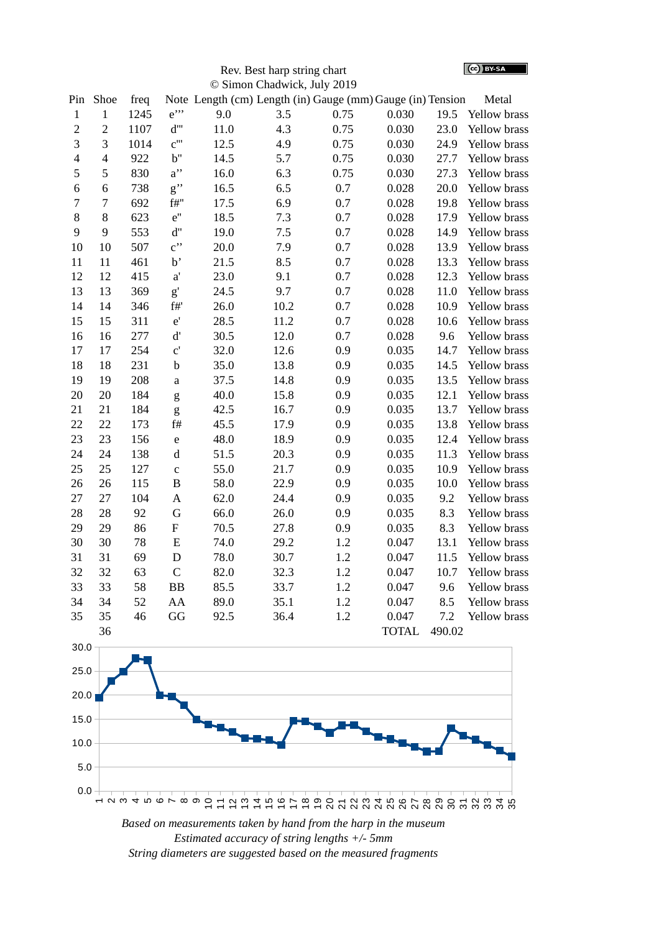(cc) BY-SA

| Rev. Best harp string chart         |  |
|-------------------------------------|--|
| $\delta$ Simon Chadwick - Iuly 2010 |  |

| © Simon Chadwick, July 2019 |                |      |                           |                                                            |      |         |              |        |                     |
|-----------------------------|----------------|------|---------------------------|------------------------------------------------------------|------|---------|--------------|--------|---------------------|
| Pin                         | Shoe           | freq |                           | Note Length (cm) Length (in) Gauge (mm) Gauge (in) Tension |      |         |              |        | Metal               |
| $\mathbf 1$                 | $\mathbf 1$    | 1245 | $e$ "                     | 9.0                                                        | 3.5  | 0.75    | 0.030        | 19.5   | Yellow brass        |
| $\overline{2}$              | $\overline{2}$ | 1107 | $d^{\prime\prime\prime}$  | 11.0                                                       | 4.3  | 0.75    | 0.030        | 23.0   | Yellow brass        |
| 3                           | 3              | 1014 | C'''                      | 12.5                                                       | 4.9  | 0.75    | 0.030        | 24.9   | Yellow brass        |
| $\overline{4}$              | $\overline{4}$ | 922  | b"                        | 14.5                                                       | 5.7  | 0.75    | 0.030        | 27.7   | Yellow brass        |
| 5                           | 5              | 830  | $a$ "                     | 16.0                                                       | 6.3  | 0.75    | 0.030        | 27.3   | Yellow brass        |
| 6                           | 6              | 738  | g''                       | 16.5                                                       | 6.5  | 0.7     | 0.028        | 20.0   | Yellow brass        |
| 7                           | $\overline{7}$ | 692  | f#''                      | 17.5                                                       | 6.9  | 0.7     | 0.028        | 19.8   | Yellow brass        |
| 8                           | 8              | 623  | e"                        | 18.5                                                       | 7.3  | 0.7     | 0.028        | 17.9   | Yellow brass        |
| 9                           | 9              | 553  | d"                        | 19.0                                                       | 7.5  | 0.7     | 0.028        | 14.9   | Yellow brass        |
| 10                          | 10             | 507  | $\mathbf{c}$ "            | 20.0                                                       | 7.9  | 0.7     | 0.028        | 13.9   | <b>Yellow brass</b> |
| 11                          | 11             | 461  | b'                        | 21.5                                                       | 8.5  | 0.7     | 0.028        | 13.3   | Yellow brass        |
| 12                          | 12             | 415  | a'                        | 23.0                                                       | 9.1  | 0.7     | 0.028        | 12.3   | <b>Yellow brass</b> |
| 13                          | 13             | 369  | $\mathbf{g}^{\prime}$     | 24.5                                                       | 9.7  | 0.7     | 0.028        | 11.0   | Yellow brass        |
| 14                          | 14             | 346  | $\rm{f}\#^{\rm{r}}$       | 26.0                                                       | 10.2 | 0.7     | 0.028        | 10.9   | Yellow brass        |
| 15                          | 15             | 311  | $\mathsf{e}^{\mathsf{i}}$ | 28.5                                                       | 11.2 | $0.7\,$ | 0.028        | 10.6   | Yellow brass        |
| 16                          | 16             | 277  | $\mathbf{d}'$             | 30.5                                                       | 12.0 | 0.7     | 0.028        | 9.6    | Yellow brass        |
| 17                          | 17             | 254  | $C^{\prime}$              | 32.0                                                       | 12.6 | 0.9     | 0.035        | 14.7   | Yellow brass        |
| 18                          | 18             | 231  | $\mathbf b$               | 35.0                                                       | 13.8 | 0.9     | 0.035        | 14.5   | Yellow brass        |
| 19                          | 19             | 208  | a                         | 37.5                                                       | 14.8 | 0.9     | 0.035        | 13.5   | Yellow brass        |
| 20                          | 20             | 184  | g                         | 40.0                                                       | 15.8 | 0.9     | 0.035        | 12.1   | Yellow brass        |
| 21                          | 21             | 184  | g                         | 42.5                                                       | 16.7 | 0.9     | 0.035        | 13.7   | Yellow brass        |
| 22                          | 22             | 173  | $\rm{f}\#$                | 45.5                                                       | 17.9 | 0.9     | 0.035        | 13.8   | Yellow brass        |
| 23                          | 23             | 156  | e                         | 48.0                                                       | 18.9 | 0.9     | 0.035        | 12.4   | Yellow brass        |
| 24                          | 24             | 138  | $\rm d$                   | 51.5                                                       | 20.3 | 0.9     | 0.035        | 11.3   | Yellow brass        |
| 25                          | 25             | 127  | $\mathsf{C}$              | 55.0                                                       | 21.7 | 0.9     | 0.035        | 10.9   | <b>Yellow brass</b> |
| 26                          | 26             | 115  | $\overline{B}$            | 58.0                                                       | 22.9 | 0.9     | 0.035        | 10.0   | Yellow brass        |
| 27                          | 27             | 104  | A                         | 62.0                                                       | 24.4 | 0.9     | 0.035        | 9.2    | Yellow brass        |
| 28                          | 28             | 92   | G                         | 66.0                                                       | 26.0 | 0.9     | 0.035        | 8.3    | Yellow brass        |
| 29                          | 29             | 86   | ${\bf F}$                 | 70.5                                                       | 27.8 | 0.9     | 0.035        | 8.3    | Yellow brass        |
| 30                          | 30             | 78   | ${\bf E}$                 | 74.0                                                       | 29.2 | 1.2     | 0.047        | 13.1   | Yellow brass        |
| 31                          | 31             | 69   | $\mathbf D$               | 78.0                                                       | 30.7 | 1.2     | 0.047        | 11.5   | Yellow brass        |
| 32                          | 32             | 63   | $\mathsf C$               | 82.0                                                       | 32.3 | 1.2     | 0.047        | 10.7   | <b>Yellow brass</b> |
| 33                          | 33             | 58   | <b>BB</b>                 | 85.5                                                       | 33.7 | 1.2     | 0.047        | 9.6    | Yellow brass        |
| 34                          | 34             | 52   | AA                        | 89.0                                                       | 35.1 | 1.2     | 0.047        | 8.5    | Yellow brass        |
| 35                          | 35             | 46   | GG                        | 92.5                                                       | 36.4 | 1.2     | 0.047        | 7.2    | <b>Yellow brass</b> |
|                             | 36             |      |                           |                                                            |      |         | <b>TOTAL</b> | 490.02 |                     |



*Based on measurements taken by hand from the harp in the museum Estimated accuracy of string lengths +/- 5mm String diameters are suggested based on the measured fragments*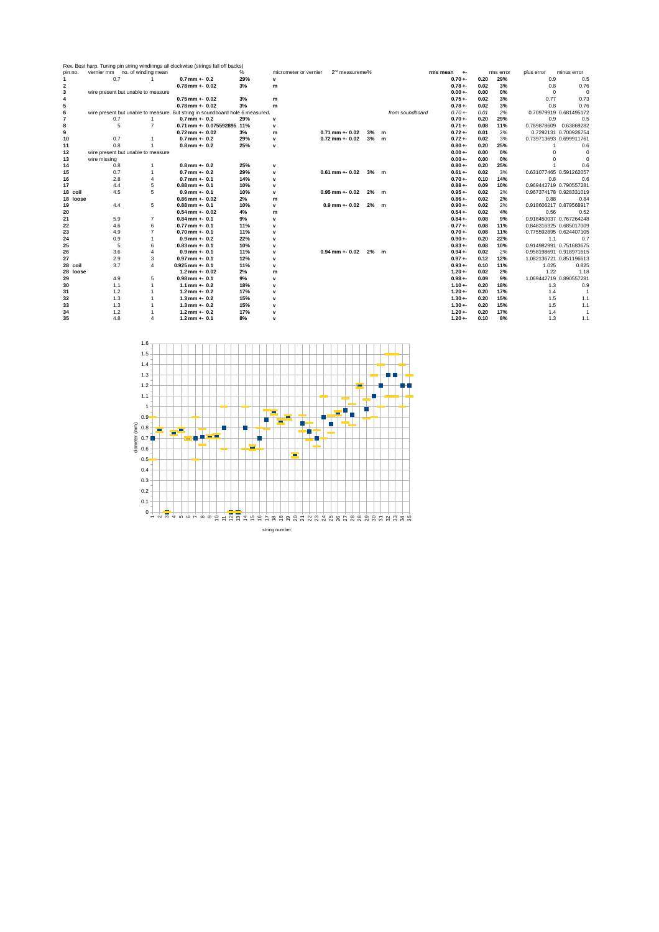|                |                                    |                | Rev. Best harp. Tuning pin string windinngs all clockwise (strings fall off backs) |      |                       |                            |    |   |                 |                 |      |           |                         |                        |
|----------------|------------------------------------|----------------|------------------------------------------------------------------------------------|------|-----------------------|----------------------------|----|---|-----------------|-----------------|------|-----------|-------------------------|------------------------|
| pin no.        | vernier mm no. of winding:mean     |                |                                                                                    | $\%$ | micrometer or vernier | 2 <sup>nd</sup> measureme% |    |   |                 | rms mean<br>$+$ |      | rms error | plus error              | minus error            |
| 1              | 0.7                                | 1              | $0.7$ mm $+$ 0.2                                                                   | 29%  | $\mathsf{v}$          |                            |    |   |                 | $0.70 + -$      | 0.20 | 29%       | 0.9                     | 0.5                    |
| 2              |                                    |                | $0.78$ mm $+$ - 0.02                                                               | 3%   | m                     |                            |    |   |                 | $0.78 + -$      | 0.02 | 3%        | 0.8                     | 0.76                   |
| 3              | wire present but unable to measure |                |                                                                                    |      |                       |                            |    |   |                 | $0.00 + -$      | 0.00 | 0%        | $\Omega$                | $\Omega$               |
| 4              |                                    |                | $0.75$ mm $+$ - 0.02                                                               | 3%   | m                     |                            |    |   |                 | $0.75 + -$      | 0.02 | 3%        | 0.77                    | 0.73                   |
| 5              |                                    |                | $0.78$ mm $+$ 0.02                                                                 | 3%   | m                     |                            |    |   |                 | $0.78 + -$      | 0.02 | 3%        | 0.8                     | 0.76                   |
| 6              |                                    |                | wire present but unable to measure. But string in soundboard hole 6 measured.      |      |                       |                            |    |   | from soundboard | $0.70 + -$      | 0.01 | 2%        |                         | 0.70979919 0.681495172 |
| $\overline{7}$ | 0.7                                | $\mathbf{1}$   | $0.7$ mm $+$ 0.2                                                                   | 29%  | $\mathbf{v}$          |                            |    |   |                 | $0.70 + -$      | 0.20 | 29%       | 0.9                     | 0.5                    |
| 8              | 5                                  | $\overline{7}$ | 0.71 mm +- 0.075592895 11%                                                         |      | $\mathbf{v}$          |                            |    |   |                 | $0.71 + -$      | 0.08 | 11%       | 0.789878609             | 0.63869282             |
| 9              |                                    |                | $0.72$ mm +- $0.02$                                                                | 3%   | m                     | $0.71$ mm $+$ 0.02         | 3% | m |                 | $0.72 + -$      | 0.01 | 2%        |                         | 0.7292131 0.700926754  |
| 10             | 0.7                                | $\mathbf{1}$   | $0.7$ mm $+$ 0.2                                                                   | 29%  | $\mathsf{v}$          | $0.72$ mm $+$ 0.02         | 3% | m |                 | $0.72 + -$      | 0.02 | 3%        | 0.739713693 0.699911761 |                        |
| 11             | 0.8                                | $\mathbf{1}$   | $0.8$ mm $+$ 0.2                                                                   | 25%  | $\mathsf{v}$          |                            |    |   |                 | $0.80 + -$      | 0.20 | 25%       | $\mathbf{1}$            | 0.6                    |
| 12             | wire present but unable to measure |                |                                                                                    |      |                       |                            |    |   |                 | $0.00 + -$      | 0.00 | 0%        | n                       | $\Omega$               |
| 13             | wire missing                       |                |                                                                                    |      |                       |                            |    |   |                 | $0.00 + -$      | 0.00 | 0%        | 0                       | $\Omega$               |
| 14             | 0.8                                | $\mathbf{1}$   | $0.8$ mm $+$ 0.2                                                                   | 25%  | $\mathbf v$           |                            |    |   |                 | $0.80 + -$      | 0.20 | 25%       | $\mathbf{1}$            | 0.6                    |
| 15             | 0.7                                | $\mathbf{1}$   | $0.7$ mm $+$ 0.2                                                                   | 29%  | $\mathbf v$           | $0.61$ mm $+$ 0.02         | 3% | m |                 | $0.61 + -$      | 0.02 | 3%        | 0.631077465 0.591262057 |                        |
| 16             | 2.8                                | $\overline{4}$ | $0.7$ mm $+$ 0.1                                                                   | 14%  | $\mathbf{v}$          |                            |    |   |                 | $0.70 + -$      | 0.10 | 14%       | 0.8                     | 0.6                    |
| 17             | 4.4                                | 5              | $0.88$ mm $+$ 0.1                                                                  | 10%  | $\mathbf{v}$          |                            |    |   |                 | $0.88 + -$      | 0.09 | 10%       | 0.969442719 0.790557281 |                        |
| 18 coil        | 4.5                                | 5              | $0.9$ mm $+$ 0.1                                                                   | 10%  | $\mathbf{v}$          | $0.95$ mm $+0.02$          | 2% | m |                 | $0.95 + -$      | 0.02 | 2%        | 0.967374178 0.928331019 |                        |
| 18 loose       |                                    |                | $0.86$ mm $+$ - 0.02                                                               | 2%   | m                     |                            |    |   |                 | $0.86 + -$      | 0.02 | 2%        | 0.88                    | 0.84                   |
| 19             | 4.4                                | 5              | $0.88$ mm $+$ 0.1                                                                  | 10%  | $\mathsf{v}$          | $0.9$ mm $+$ 0.02          | 2% | m |                 | $0.90 + -$      | 0.02 | 2%        | 0.918606217 0.879568917 |                        |
| 20             |                                    |                | $0.54$ mm + $0.02$                                                                 | 4%   | m                     |                            |    |   |                 | $0.54 + -$      | 0.02 | 4%        | 0.56                    | 0.52                   |
| 21             | 5.9                                | $\overline{7}$ | $0.84$ mm +- $0.1$                                                                 | 9%   | $\mathbf{v}$          |                            |    |   |                 | $0.84 + -$      | 0.08 | 9%        | 0.918450037 0.767264248 |                        |
| 22             | 4.6                                | 6              | $0.77$ mm $+$ 0.1                                                                  | 11%  | $\mathbf{v}$          |                            |    |   |                 | $0.77 + -$      | 0.08 | 11%       | 0.848316325 0.685017009 |                        |
| 23             | 4.9                                | 7              | $0.70$ mm $+$ 0.1                                                                  | 11%  | v                     |                            |    |   |                 | $0.70 + -$      | 0.08 | 11%       | 0.775592895 0.624407105 |                        |
| 24             | 0.9                                | $\mathbf{1}$   | $0.9$ mm + $0.2$                                                                   | 22%  | v                     |                            |    |   |                 | $0.90 + -$      | 0.20 | 22%       | 1.1                     | 0.7                    |
| 25             | 5                                  | 6              | $0.83$ mm $+$ 0.1                                                                  | 10%  | $\mathbf v$           |                            |    |   |                 | $0.83 + -$      | 0.08 | 10%       | 0.914982991 0.751683675 |                        |
| 26             | 3.6                                | $\overline{4}$ | $0.9$ mm $+$ 0.1                                                                   | 11%  | v                     | $0.94$ mm +- $0.02$        | 2% | m |                 | $0.94 + -$      | 0.02 | 2%        | 0.958198691 0.918971615 |                        |
| 27             | 2.9                                | 3              | $0.97$ mm $+$ 0.1                                                                  | 12%  | $\mathbf v$           |                            |    |   |                 | $0.97 + -$      | 0.12 | 12%       | 1.082136721 0.851196613 |                        |
| 28 coil        | 3.7                                | $\overline{4}$ | $0.925$ mm +- $0.1$                                                                | 11%  | $\mathbf{v}$          |                            |    |   |                 | $0.93 +$        | 0.10 | 11%       | 1.025                   | 0.825                  |
| 28 loose       |                                    |                | $1.2$ mm $+$ 0.02                                                                  | 2%   | m                     |                            |    |   |                 | $1.20 + -$      | 0.02 | 2%        | 1.22                    | 1.18                   |
| 29             | 4.9                                | 5              | $0.98$ mm +- $0.1$                                                                 | 9%   | $\mathbf v$           |                            |    |   |                 | $0.98 + -$      | 0.09 | 9%        | 1.069442719 0.890557281 |                        |
| 30             | 1.1                                | $\mathbf{1}$   | $1.1$ mm $+$ 0.2                                                                   | 18%  | $\mathbf{v}$          |                            |    |   |                 | $1.10 +$        | 0.20 | 18%       | 1.3                     | 0.9                    |
| 31             | 1.2                                | $\mathbf{1}$   | $1.2$ mm $+$ 0.2                                                                   | 17%  | $\mathbf v$           |                            |    |   |                 | $1.20 + -$      | 0.20 | 17%       | 1.4                     | $\overline{1}$         |
| 32             | 1.3                                | $\mathbf{1}$   | $1.3$ mm $+$ 0.2                                                                   | 15%  | $\mathbf v$           |                            |    |   |                 | $1.30 + -$      | 0.20 | 15%       | 1.5                     | 1.1                    |
| 33             | 1.3                                | 1              | $1.3$ mm $+$ 0.2                                                                   | 15%  | $\mathbf v$           |                            |    |   |                 | $1.30 + -$      | 0.20 | 15%       | 1.5                     | 1.1                    |
| 34             | 1.2                                | $\mathbf{1}$   | $1.2$ mm $+$ 0.2                                                                   | 17%  | $\mathbf v$           |                            |    |   |                 | $1.20 + -$      | 0.20 | 17%       | 1.4                     | $\overline{1}$         |
| 35             | 4.8                                | $\Delta$       | $1.2$ mm $+$ 0.1                                                                   | 8%   | $\mathbf{v}$          |                            |    |   |                 | $1.20 + -$      | 0.10 | 8%        | 1.3                     | 1.1                    |

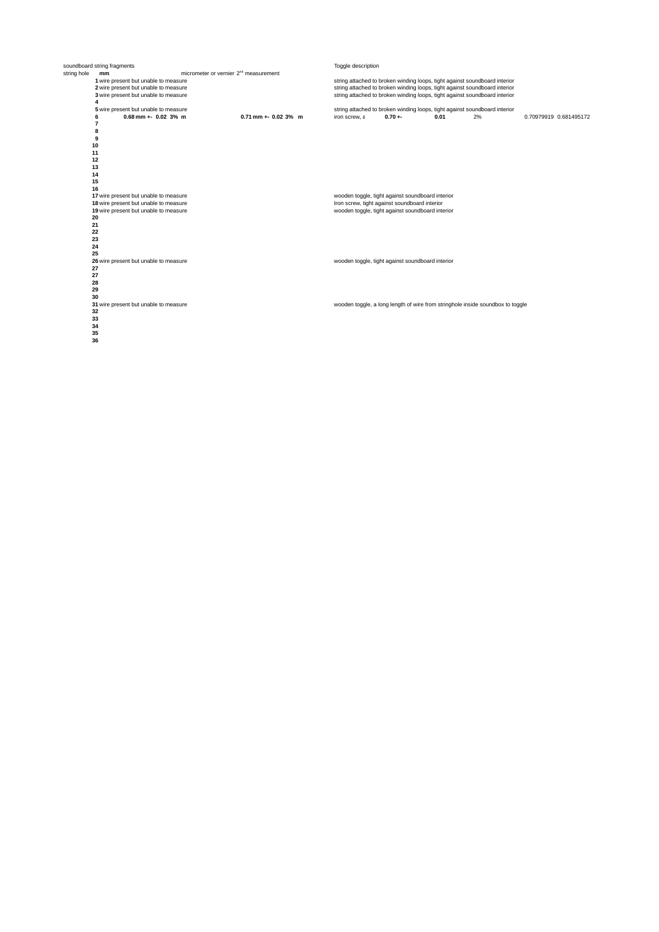|             | soundboard string fragments           |                                                   |                        | Toggle description |                                                  |      |                                                                                |                        |
|-------------|---------------------------------------|---------------------------------------------------|------------------------|--------------------|--------------------------------------------------|------|--------------------------------------------------------------------------------|------------------------|
| string hole | mm                                    | micrometer or vernier 2 <sup>nd</sup> measurement |                        |                    |                                                  |      |                                                                                |                        |
|             | 1 wire present but unable to measure  |                                                   |                        |                    |                                                  |      | string attached to broken winding loops, tight against soundboard interior     |                        |
|             | 2 wire present but unable to measure  |                                                   |                        |                    |                                                  |      | string attached to broken winding loops, tight against soundboard interior     |                        |
|             | 3 wire present but unable to measure  |                                                   |                        |                    |                                                  |      | string attached to broken winding loops, tight against soundboard interior     |                        |
|             | 4                                     |                                                   |                        |                    |                                                  |      |                                                                                |                        |
|             | 5 wire present but unable to measure  |                                                   |                        |                    |                                                  |      | string attached to broken winding loops, tight against soundboard interior     |                        |
|             | $0.68$ mm +- $0.02$ 3% m              |                                                   | $0.71$ mm +- 0.02 3% m | iron screw, a      | $0.70 + -$                                       | 0.01 | 2%                                                                             | 0.70979919 0.681495172 |
|             | $\overline{7}$                        |                                                   |                        |                    |                                                  |      |                                                                                |                        |
|             | 8                                     |                                                   |                        |                    |                                                  |      |                                                                                |                        |
|             | 9                                     |                                                   |                        |                    |                                                  |      |                                                                                |                        |
|             | 10                                    |                                                   |                        |                    |                                                  |      |                                                                                |                        |
|             | 11                                    |                                                   |                        |                    |                                                  |      |                                                                                |                        |
|             | 12                                    |                                                   |                        |                    |                                                  |      |                                                                                |                        |
|             | 13                                    |                                                   |                        |                    |                                                  |      |                                                                                |                        |
|             | 14                                    |                                                   |                        |                    |                                                  |      |                                                                                |                        |
|             | 15                                    |                                                   |                        |                    |                                                  |      |                                                                                |                        |
|             | 16                                    |                                                   |                        |                    |                                                  |      |                                                                                |                        |
|             | 17 wire present but unable to measure |                                                   |                        |                    | wooden toggle, tight against soundboard interior |      |                                                                                |                        |
|             | 18 wire present but unable to measure |                                                   |                        |                    | Iron screw, tight against soundboard interior    |      |                                                                                |                        |
|             | 19 wire present but unable to measure |                                                   |                        |                    | wooden toggle, tight against soundboard interior |      |                                                                                |                        |
|             | 20                                    |                                                   |                        |                    |                                                  |      |                                                                                |                        |
|             | 21                                    |                                                   |                        |                    |                                                  |      |                                                                                |                        |
|             | 22                                    |                                                   |                        |                    |                                                  |      |                                                                                |                        |
|             | 23                                    |                                                   |                        |                    |                                                  |      |                                                                                |                        |
|             | 24                                    |                                                   |                        |                    |                                                  |      |                                                                                |                        |
|             | 25                                    |                                                   |                        |                    |                                                  |      |                                                                                |                        |
|             | 26 wire present but unable to measure |                                                   |                        |                    | wooden toggle, tight against soundboard interior |      |                                                                                |                        |
|             | 27                                    |                                                   |                        |                    |                                                  |      |                                                                                |                        |
|             | 27                                    |                                                   |                        |                    |                                                  |      |                                                                                |                        |
|             | 28                                    |                                                   |                        |                    |                                                  |      |                                                                                |                        |
|             | 29                                    |                                                   |                        |                    |                                                  |      |                                                                                |                        |
|             | 30                                    |                                                   |                        |                    |                                                  |      |                                                                                |                        |
|             | 31 wire present but unable to measure |                                                   |                        |                    |                                                  |      | wooden toggle, a long length of wire from stringhole inside soundbox to toggle |                        |
|             | 32                                    |                                                   |                        |                    |                                                  |      |                                                                                |                        |
|             | 33                                    |                                                   |                        |                    |                                                  |      |                                                                                |                        |
|             | 34                                    |                                                   |                        |                    |                                                  |      |                                                                                |                        |
|             | 35                                    |                                                   |                        |                    |                                                  |      |                                                                                |                        |
|             | 36                                    |                                                   |                        |                    |                                                  |      |                                                                                |                        |
|             |                                       |                                                   |                        |                    |                                                  |      |                                                                                |                        |